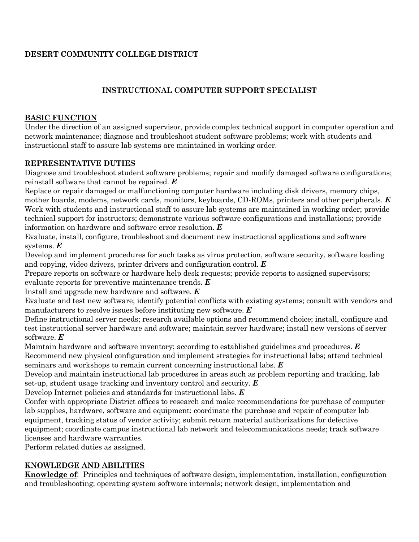# **DESERT COMMUNITY COLLEGE DISTRICT**

## **INSTRUCTIONAL COMPUTER SUPPORT SPECIALIST**

#### **BASIC FUNCTION**

Under the direction of an assigned supervisor, provide complex technical support in computer operation and network maintenance; diagnose and troubleshoot student software problems; work with students and instructional staff to assure lab systems are maintained in working order.

#### **REPRESENTATIVE DUTIES**

Diagnose and troubleshoot student software problems; repair and modify damaged software configurations; reinstall software that cannot be repaired. *E*

Replace or repair damaged or malfunctioning computer hardware including disk drivers, memory chips, mother boards, modems, network cards, monitors, keyboards, CD-ROMs, printers and other peripherals. *E* Work with students and instructional staff to assure lab systems are maintained in working order; provide technical support for instructors; demonstrate various software configurations and installations; provide information on hardware and software error resolution. *E*

Evaluate, install, configure, troubleshoot and document new instructional applications and software systems. *E*

Develop and implement procedures for such tasks as virus protection, software security, software loading and copying, video drivers, printer drivers and configuration control. *E*

Prepare reports on software or hardware help desk requests; provide reports to assigned supervisors;

evaluate reports for preventive maintenance trends. *E*

Install and upgrade new hardware and software. *E*

Evaluate and test new software; identify potential conflicts with existing systems; consult with vendors and manufacturers to resolve issues before instituting new software. *E*

Define instructional server needs; research available options and recommend choice; install, configure and test instructional server hardware and software; maintain server hardware; install new versions of server software. *E*

Maintain hardware and software inventory; according to established guidelines and procedures. *E* Recommend new physical configuration and implement strategies for instructional labs; attend technical seminars and workshops to remain current concerning instructional labs. *E*

Develop and maintain instructional lab procedures in areas such as problem reporting and tracking, lab set-up, student usage tracking and inventory control and security. *E*

Develop Internet policies and standards for instructional labs. *E*

Confer with appropriate District offices to research and make recommendations for purchase of computer lab supplies, hardware, software and equipment; coordinate the purchase and repair of computer lab equipment, tracking status of vendor activity; submit return material authorizations for defective equipment; coordinate campus instructional lab network and telecommunications needs; track software licenses and hardware warranties.

Perform related duties as assigned.

### **KNOWLEDGE AND ABILITIES**

**Knowledge of**: Principles and techniques of software design, implementation, installation, configuration and troubleshooting; operating system software internals; network design, implementation and